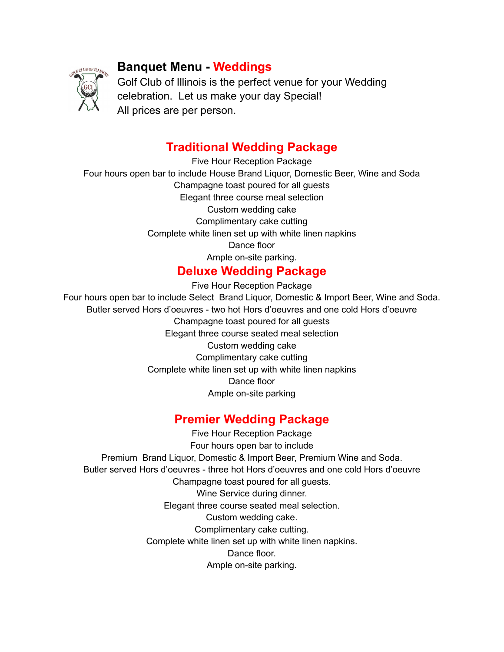

# **Banquet Menu - Weddings**

Golf Club of Illinois is the perfect venue for your Wedding celebration. Let us make your day Special! All prices are per person.

## **Traditional Wedding Package**

Five Hour Reception Package Four hours open bar to include House Brand Liquor, Domestic Beer, Wine and Soda Champagne toast poured for all guests Elegant three course meal selection Custom wedding cake Complimentary cake cutting Complete white linen set up with white linen napkins Dance floor Ample on-site parking.

## **Deluxe Wedding Package**

Five Hour Reception Package

Four hours open bar to include Select Brand Liquor, Domestic & Import Beer, Wine and Soda. Butler served Hors d'oeuvres - two hot Hors d'oeuvres and one cold Hors d'oeuvre Champagne toast poured for all guests Elegant three course seated meal selection Custom wedding cake Complimentary cake cutting Complete white linen set up with white linen napkins Dance floor Ample on-site parking

# **Premier Wedding Package**

Five Hour Reception Package Four hours open bar to include Premium Brand Liquor, Domestic & Import Beer, Premium Wine and Soda. Butler served Hors d'oeuvres - three hot Hors d'oeuvres and one cold Hors d'oeuvre Champagne toast poured for all guests. Wine Service during dinner. Elegant three course seated meal selection. Custom wedding cake. Complimentary cake cutting. Complete white linen set up with white linen napkins. Dance floor. Ample on-site parking.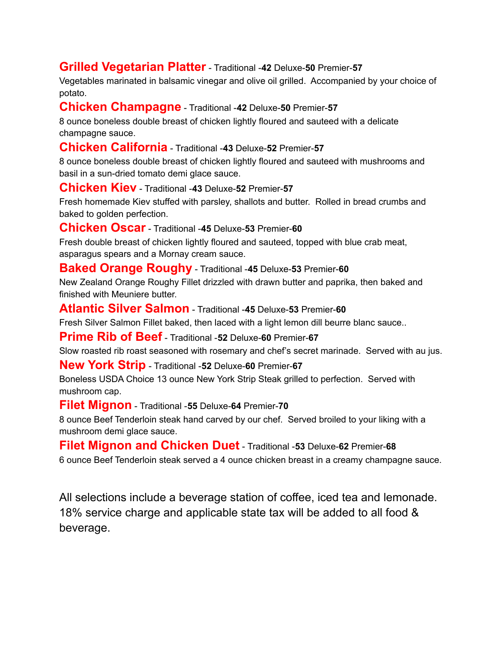### **Grilled Vegetarian Platter** - Traditional -**42** Deluxe-**50** Premier-**57**

Vegetables marinated in balsamic vinegar and olive oil grilled. Accompanied by your choice of potato.

#### **Chicken Champagne** - Traditional -**42** Deluxe-**50** Premier-**57**

8 ounce boneless double breast of chicken lightly floured and sauteed with a delicate champagne sauce.

#### **Chicken California** - Traditional -**43** Deluxe-**52** Premier-**57**

8 ounce boneless double breast of chicken lightly floured and sauteed with mushrooms and basil in a sun-dried tomato demi glace sauce.

#### **Chicken Kiev** - Traditional -**43** Deluxe-**52** Premier-**57**

Fresh homemade Kiev stuffed with parsley, shallots and butter. Rolled in bread crumbs and baked to golden perfection.

#### **Chicken Oscar** - Traditional -**45** Deluxe-**53** Premier-**60**

Fresh double breast of chicken lightly floured and sauteed, topped with blue crab meat, asparagus spears and a Mornay cream sauce.

#### **Baked Orange Roughy** - Traditional -**45** Deluxe-**53** Premier-**60**

New Zealand Orange Roughy Fillet drizzled with drawn butter and paprika, then baked and finished with Meuniere butter.

**Atlantic Silver Salmon** - Traditional -**45** Deluxe-**53** Premier-**60**

Fresh Silver Salmon Fillet baked, then laced with a light lemon dill beurre blanc sauce..

**Prime Rib of Beef** - Traditional -**52** Deluxe-**60** Premier-**67**

Slow roasted rib roast seasoned with rosemary and chef's secret marinade. Served with au jus.

#### **New York Strip** - Traditional -**52** Deluxe-**60** Premier-**67**

Boneless USDA Choice 13 ounce New York Strip Steak grilled to perfection. Served with mushroom cap.

**Filet Mignon** - Traditional -**55** Deluxe-**64** Premier-**70**

8 ounce Beef Tenderloin steak hand carved by our chef. Served broiled to your liking with a mushroom demi glace sauce.

**Filet Mignon and Chicken Duet** - Traditional -**53** Deluxe-**62** Premier-**68**

6 ounce Beef Tenderloin steak served a 4 ounce chicken breast in a creamy champagne sauce.

All selections include a beverage station of coffee, iced tea and lemonade. 18% service charge and applicable state tax will be added to all food & beverage.